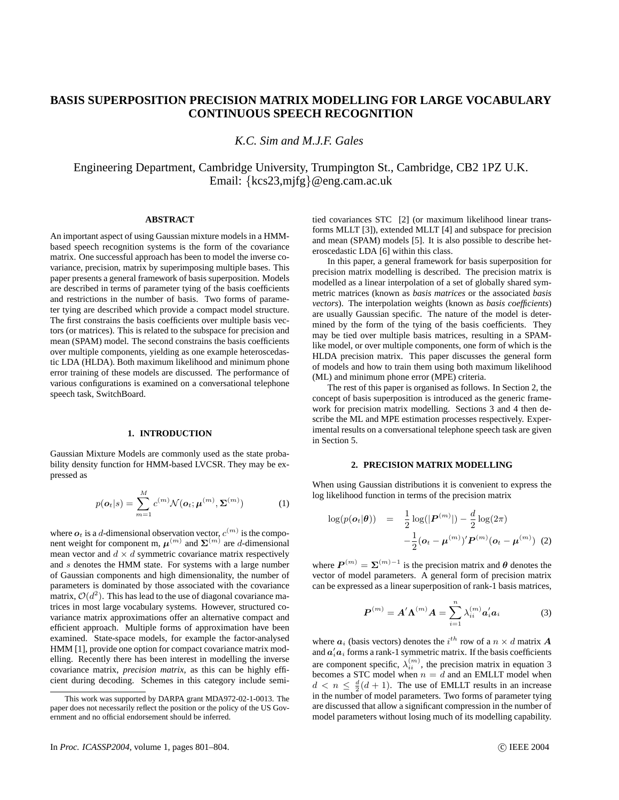# **BASIS SUPERPOSITION PRECISION MATRIX MODELLING FOR LARGE VOCABULARY CONTINUOUS SPEECH RECOGNITION**

*K.C. Sim and M.J.F. Gales*

Engineering Department, Cambridge University, Trumpington St., Cambridge, CB2 1PZ U.K. Email: {kcs23,mjfg}@eng.cam.ac.uk

## **ABSTRACT**

An important aspect of using Gaussian mixture models in a HMMbased speech recognition systems is the form of the covariance matrix. One successful approach has been to model the inverse covariance, precision, matrix by superimposing multiple bases. This paper presents a general framework of basis superposition. Models are described in terms of parameter tying of the basis coefficients and restrictions in the number of basis. Two forms of parameter tying are described which provide a compact model structure. The first constrains the basis coefficients over multiple basis vectors (or matrices). This is related to the subspace for precision and mean (SPAM) model. The second constrains the basis coefficients over multiple components, yielding as one example heteroscedastic LDA (HLDA). Both maximum likelihood and minimum phone error training of these models are discussed. The performance of various configurations is examined on a conversational telephone speech task, SwitchBoard.

# **1. INTRODUCTION**

Gaussian Mixture Models are commonly used as the state probability density function for HMM-based LVCSR. They may be expressed as

$$
p(\boldsymbol{o}_{t}|s) = \sum_{m=1}^{M} c^{(m)} \mathcal{N}(\boldsymbol{o}_{t}; \boldsymbol{\mu}^{(m)}, \boldsymbol{\Sigma}^{(m)})
$$
(1)

where  $o_t$  is a d-dimensional observation vector,  $c^{(m)}$  is the component weight for component m,  $\boldsymbol{\mu}^{(m)}$  and  $\boldsymbol{\Sigma}^{(m)}$  are *d*-dimensional mean vector and  $d \times d$  symmetric covariance matrix respectively and s denotes the HMM state. For systems with a large number of Gaussian components and high dimensionality, the number of parameters is dominated by those associated with the covariance matrix,  $\mathcal{O}(d^2)$ . This has lead to the use of diagonal covariance matrices in most large vocabulary systems. However, structured covariance matrix approximations offer an alternative compact and efficient approach. Multiple forms of approximation have been examined. State-space models, for example the factor-analysed HMM [1], provide one option for compact covariance matrix modelling. Recently there has been interest in modelling the inverse covariance matrix, *precision matrix*, as this can be highly efficient during decoding. Schemes in this category include semitied covariances STC [2] (or maximum likelihood linear transforms MLLT [3]), extended MLLT [4] and subspace for precision and mean (SPAM) models [5]. It is also possible to describe heteroscedastic LDA [6] within this class.

In this paper, a general framework for basis superposition for precision matrix modelling is described. The precision matrix is modelled as a linear interpolation of a set of globally shared symmetric matrices (known as *basis matrices* or the associated *basis vectors*). The interpolation weights (known as *basis coefficients*) are usually Gaussian specific. The nature of the model is determined by the form of the tying of the basis coefficients. They may be tied over multiple basis matrices, resulting in a SPAMlike model, or over multiple components, one form of which is the HLDA precision matrix. This paper discusses the general form of models and how to train them using both maximum likelihood (ML) and minimum phone error (MPE) criteria.

The rest of this paper is organised as follows. In Section 2, the concept of basis superposition is introduced as the generic framework for precision matrix modelling. Sections 3 and 4 then describe the ML and MPE estimation processes respectively. Experimental results on a conversational telephone speech task are given in Section 5.

### **2. PRECISION MATRIX MODELLING**

When using Gaussian distributions it is convenient to express the log likelihood function in terms of the precision matrix

$$
\log(p(\boldsymbol{o}_t|\boldsymbol{\theta})) = \frac{1}{2}\log(|\boldsymbol{P}^{(m)}|) - \frac{d}{2}\log(2\pi) -\frac{1}{2}(\boldsymbol{o}_t - \boldsymbol{\mu}^{(m)})'\boldsymbol{P}^{(m)}(\boldsymbol{o}_t - \boldsymbol{\mu}^{(m)})
$$
(2)

where  $P^{(m)} = \Sigma^{(m)-1}$  is the precision matrix and  $\theta$  denotes the vector of model parameters. A general form of precision matrix can be expressed as a linear superposition of rank-1 basis matrices,

$$
\boldsymbol{P}^{(m)} = \boldsymbol{A}' \boldsymbol{\Lambda}^{(m)} \boldsymbol{A} = \sum_{i=1}^{n} \lambda_{ii}^{(m)} \boldsymbol{a}'_i \boldsymbol{a}_i \tag{3}
$$

where  $a_i$  (basis vectors) denotes the  $i^{th}$  row of a  $n \times d$  matrix A and  $a_i'a_i$  forms a rank-1 symmetric matrix. If the basis coefficients are component specific,  $\lambda_{ii}^{(m)}$ , the precision matrix in equation 3 becomes a STC model when  $n = d$  and an EMLLT model when  $d < n \leq \frac{d}{2}(d+1)$ . The use of EMLLT results in an increase in the number of model parameters. Two forms of parameter tying are discussed that allow a significant compression in the number of model parameters without losing much of its modelling capability.

This work was supported by DARPA grant MDA972-02-1-0013. The paper does not necessarily reflect the position or the policy of the US Government and no official endorsement should be inferred.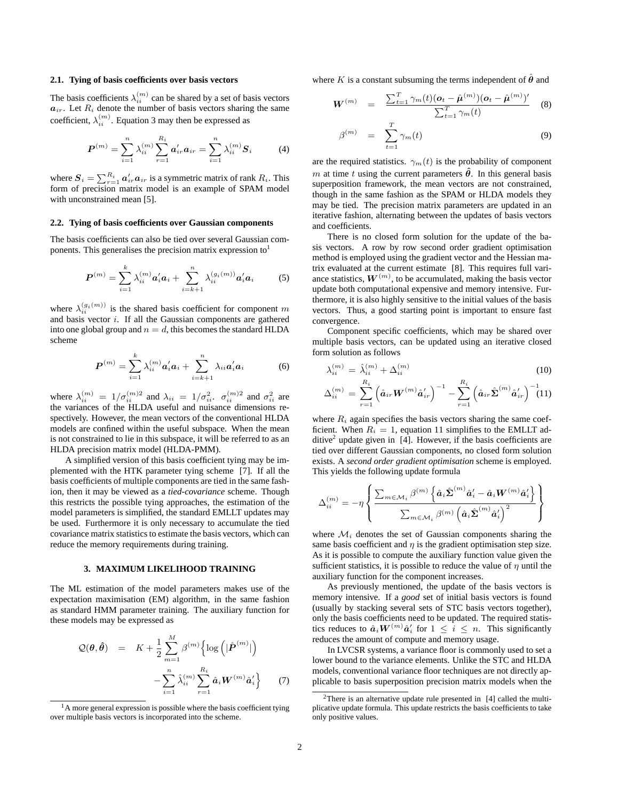#### **2.1. Tying of basis coefficients over basis vectors**

The basis coefficients  $\lambda_{ii}^{(m)}$  can be shared by a set of basis vectors  $a_{ir}$ . Let  $R_i$  denote the number of basis vectors sharing the same coefficient,  $\lambda_{ii}^{(m)}$ . Equation 3 may then be expressed as

$$
P^{(m)} = \sum_{i=1}^{n} \lambda_{ii}^{(m)} \sum_{r=1}^{R_i} a'_{ir} a_{ir} = \sum_{i=1}^{n} \lambda_{ii}^{(m)} S_i
$$
 (4)

where  $S_i = \sum_{r=1}^{R_i} a'_{ir} a_{ir}$  is a symmetric matrix of rank  $R_i$ . This form of precision matrix model is an example of SPAM model with unconstrained mean [5].

#### **2.2. Tying of basis coefficients over Gaussian components**

The basis coefficients can also be tied over several Gaussian components. This generalises the precision matrix expression to<sup>1</sup>

$$
\boldsymbol{P}^{(m)} = \sum_{i=1}^{k} \lambda_{ii}^{(m)} \boldsymbol{a}_i' \boldsymbol{a}_i + \sum_{i=k+1}^{n} \lambda_{ii}^{(g_i(m))} \boldsymbol{a}_i' \boldsymbol{a}_i
$$
 (5)

where  $\lambda_{ii}^{(g_i(m))}$  is the shared basis coefficient for component m and basis vector  $i$ . If all the Gaussian components are gathered into one global group and  $n = d$ , this becomes the standard HLDA scheme

$$
\boldsymbol{P}^{(m)} = \sum_{i=1}^{k} \lambda_{ii}^{(m)} \boldsymbol{a}_i' \boldsymbol{a}_i + \sum_{i=k+1}^{n} \lambda_{ii} \boldsymbol{a}_i' \boldsymbol{a}_i \tag{6}
$$

where  $\lambda_{ii}^{(m)} = 1/\sigma_{ii}^{(m)2}$  and  $\lambda_{ii} = 1/\sigma_{ii}^2$ .  $\sigma_{ii}^{(m)2}$  and  $\sigma_{ii}^2$  are the variances of the HLDA useful and nuisance dimensions respectively. However, the mean vectors of the conventional HLDA models are confined within the useful subspace. When the mean is not constrained to lie in this subspace, it will be referred to as an HLDA precision matrix model (HLDA-PMM).

A simplified version of this basis coefficient tying may be implemented with the HTK parameter tying scheme [7]. If all the basis coefficients of multiple components are tied in the same fashion, then it may be viewed as a *tied-covariance* scheme. Though this restricts the possible tying approaches, the estimation of the model parameters is simplified, the standard EMLLT updates may be used. Furthermore it is only necessary to accumulate the tied covariance matrix statistics to estimate the basis vectors, which can reduce the memory requirements during training.

#### **3. MAXIMUM LIKELIHOOD TRAINING**

The ML estimation of the model parameters makes use of the expectation maximisation (EM) algorithm, in the same fashion as standard HMM parameter training. The auxiliary function for these models may be expressed as

$$
\mathcal{Q}(\boldsymbol{\theta}, \hat{\boldsymbol{\theta}}) = K + \frac{1}{2} \sum_{m=1}^{M} \beta^{(m)} \left\{ \log \left( |\hat{\boldsymbol{P}}^{(m)}| \right) - \sum_{i=1}^{n} \hat{\lambda}_{ii}^{(m)} \sum_{r=1}^{R_i} \hat{\boldsymbol{a}}_i \boldsymbol{W}^{(m)} \hat{\boldsymbol{a}}_i' \right\}
$$
(7)

where K is a constant subsuming the terms independent of  $\hat{\theta}$  and

$$
W^{(m)} = \frac{\sum_{t=1}^{T} \gamma_m(t) (o_t - \hat{\mu}^{(m)})(o_t - \hat{\mu}^{(m)})'}{\sum_{t=1}^{T} \gamma_m(t)}
$$
(8)

$$
\beta^{(m)} = \sum_{t=1}^{T} \gamma_m(t) \tag{9}
$$

are the required statistics.  $\gamma_m(t)$  is the probability of component m at time t using the current parameters  $\hat{\theta}$ . In this general basis superposition framework, the mean vectors are not constrained, though in the same fashion as the SPAM or HLDA models they may be tied. The precision matrix parameters are updated in an iterative fashion, alternating between the updates of basis vectors and coefficients.

There is no closed form solution for the update of the basis vectors. A row by row second order gradient optimisation method is employed using the gradient vector and the Hessian matrix evaluated at the current estimate [8]. This requires full variance statistics,  $W^{(m)}$ , to be accumulated, making the basis vector update both computational expensive and memory intensive. Furthermore, it is also highly sensitive to the initial values of the basis vectors. Thus, a good starting point is important to ensure fast convergence.

Component specific coefficients, which may be shared over multiple basis vectors, can be updated using an iterative closed form solution as follows

$$
\lambda_{ii}^{(m)} = \hat{\lambda}_{ii}^{(m)} + \Delta_{ii}^{(m)}
$$
\n(10)

$$
\Delta_{ii}^{(m)} \, = \, \sum_{r=1}^{R_i} \left(\hat{\bm{a}}_{ir} \bm{W}^{(m)} \hat{\bm{a}}'_{ir}\right)^{-1} - \sum_{r=1}^{R_i} \left(\hat{\bm{a}}_{ir} \hat{\bm{\Sigma}}^{(m)} \hat{\bm{a}}'_{ir}\right)^{-1}\!\!\!(11)
$$

where  $R_i$  again specifies the basis vectors sharing the same coefficient. When  $R_i = 1$ , equation 11 simplifies to the EMLLT additive<sup>2</sup> update given in [4]. However, if the basis coefficients are tied over different Gaussian components, no closed form solution exists. A *second order gradient optimisation* scheme is employed. This yields the following update formula

$$
\Delta_{ii}^{(m)} = -\eta \left\{ \frac{\sum_{m \in \mathcal{M}_i} \beta^{(m)} \left\{ \hat{\mathbf{a}}_i \hat{\boldsymbol{\Sigma}}^{(m)} \hat{\mathbf{a}}_i' - \hat{\mathbf{a}}_i \boldsymbol{W}^{(m)} \hat{\mathbf{a}}_i' \right\}}{\sum_{m \in \mathcal{M}_i} \beta^{(m)} \left( \hat{\mathbf{a}}_i \hat{\boldsymbol{\Sigma}}^{(m)} \hat{\mathbf{a}}_i' \right)^2} \right\}
$$

where  $\mathcal{M}_i$  denotes the set of Gaussian components sharing the same basis coefficient and  $\eta$  is the gradient optimisation step size. As it is possible to compute the auxiliary function value given the sufficient statistics, it is possible to reduce the value of  $\eta$  until the auxiliary function for the component increases.

As previously mentioned, the update of the basis vectors is memory intensive. If a *good* set of initial basis vectors is found (usually by stacking several sets of STC basis vectors together), only the basis coefficients need to be updated. The required statistics reduces to  $\hat{a}_i \boldsymbol{W}^{(m)} \hat{a}'_i$  for  $1 \leq i \leq n$ . This significantly reduces the amount of compute and memory usage.

In LVCSR systems, a variance floor is commonly used to set a lower bound to the variance elements. Unlike the STC and HLDA models, conventional variance floor techniques are not directly applicable to basis superposition precision matrix models when the

 $<sup>1</sup>A$  more general expression is possible where the basis coefficient tying</sup> over multiple basis vectors is incorporated into the scheme.

<sup>&</sup>lt;sup>2</sup>There is an alternative update rule presented in  $[4]$  called the multiplicative update formula. This update restricts the basis coefficients to take only positive values.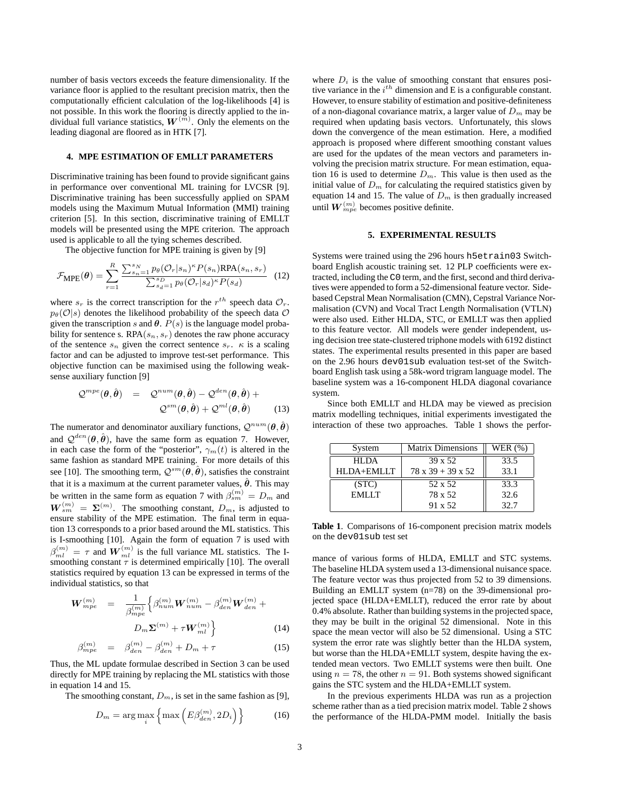number of basis vectors exceeds the feature dimensionality. If the variance floor is applied to the resultant precision matrix, then the computationally efficient calculation of the log-likelihoods [4] is not possible. In this work the flooring is directly applied to the individual full variance statistics,  $W^{(\bar{m})}$ . Only the elements on the leading diagonal are floored as in HTK [7].

#### **4. MPE ESTIMATION OF EMLLT PARAMETERS**

Discriminative training has been found to provide significant gains in performance over conventional ML training for LVCSR [9]. Discriminative training has been successfully applied on SPAM models using the Maximum Mutual Information (MMI) training criterion [5]. In this section, discriminative training of EMLLT models will be presented using the MPE criterion. The approach used is applicable to all the tying schemes described.

The objective function for MPE training is given by [9]

$$
\mathcal{F}_{\text{MPE}}(\theta) = \sum_{r=1}^{R} \frac{\sum_{s_n=1}^{s_N} p_{\theta}(\mathcal{O}_r|s_n)^{\kappa} P(s_n) \text{RPA}(s_n, s_r)}{\sum_{s_d=1}^{s_D} p_{\theta}(\mathcal{O}_r|s_d)^{\kappa} P(s_d)}
$$
(12)

where  $s_r$  is the correct transcription for the  $r^{th}$  speech data  $\mathcal{O}_r$ .  $p_{\theta}(\mathcal{O}|s)$  denotes the likelihood probability of the speech data  $\mathcal{O}$ given the transcription s and  $\theta$ .  $\overline{P}(s)$  is the language model probability for sentence s.  $RPA(s_n, s_r)$  denotes the raw phone accuracy of the sentence  $s_n$  given the correct sentence  $s_r$ .  $\kappa$  is a scaling factor and can be adjusted to improve test-set performance. This objective function can be maximised using the following weaksense auxiliary function [9]

$$
\mathcal{Q}^{mpe}(\theta,\hat{\theta}) = \mathcal{Q}^{num}(\theta,\hat{\theta}) - \mathcal{Q}^{den}(\theta,\hat{\theta}) +
$$
  

$$
\mathcal{Q}^{sm}(\theta,\hat{\theta}) + \mathcal{Q}^{ml}(\theta,\hat{\theta})
$$
(13)

The numerator and denominator auxiliary functions,  $\mathcal{Q}^{num}(\theta, \hat{\theta})$ and  $\mathcal{Q}^{den}(\theta, \hat{\theta})$ , have the same form as equation 7. However, in each case the form of the "posterior",  $\gamma_m(t)$  is altered in the same fashion as standard MPE training. For more details of this see [10]. The smoothing term,  $\mathcal{Q}^{sm}(\theta, \hat{\theta})$ , satisfies the constraint that it is a maximum at the current parameter values,  $\hat{\theta}$ . This may be written in the same form as equation 7 with  $\beta_{sm}^{(m)} = D_m$  and  $W_{sm}^{(m)} = \Sigma^{(m)}$ . The smoothing constant,  $D_m$ , is adjusted to ensure stability of the MPE estimation. The final term in equation 13 corresponds to a prior based around the ML statistics. This is I-smoothing [10]. Again the form of equation 7 is used with  $\beta_{ml}^{(m)} = \tau$  and  $\boldsymbol{W}_{ml}^{(m)}$  is the full variance ML statistics. The Ismoothing constant  $\tau$  is determined empirically [10]. The overall statistics required by equation 13 can be expressed in terms of the individual statistics, so that

$$
\boldsymbol{W}_{mpe}^{(m)} = \frac{1}{\beta_{mpe}^{(m)}} \Big\{ \beta_{num}^{(m)} \boldsymbol{W}_{num}^{(m)} - \beta_{den}^{(m)} \boldsymbol{W}_{den}^{(m)} + D_m \boldsymbol{\Sigma}^{(m)} + \tau \boldsymbol{W}_{ml}^{(m)} \Big\}
$$
(14)

$$
\beta_{mpe}^{(m)} = \beta_{den}^{(m)} - \beta_{den}^{(m)} + D_m + \tau \tag{15}
$$

Thus, the ML update formulae described in Section 3 can be used directly for MPE training by replacing the ML statistics with those in equation 14 and 15.

The smoothing constant,  $D_m$ , is set in the same fashion as [9],

$$
D_m = \arg\max_i \left\{ \max \left( E\beta_{den}^{(m)}, 2D_i \right) \right\} \tag{16}
$$

where  $D_i$  is the value of smoothing constant that ensures positive variance in the  $i^{th}$  dimension and E is a configurable constant. However, to ensure stability of estimation and positive-definiteness of a non-diagonal covariance matrix, a larger value of  $D_m$  may be required when updating basis vectors. Unfortunately, this slows down the convergence of the mean estimation. Here, a modified approach is proposed where different smoothing constant values are used for the updates of the mean vectors and parameters involving the precision matrix structure. For mean estimation, equation 16 is used to determine  $D_m$ . This value is then used as the initial value of  $D_m$  for calculating the required statistics given by equation 14 and 15. The value of  $D_m$  is then gradually increased until  $\boldsymbol{W}^{(m)}_{mpe}$  becomes positive definite.

### **5. EXPERIMENTAL RESULTS**

Systems were trained using the 296 hours h5etrain03 Switchboard English acoustic training set. 12 PLP coefficients were extracted, including the C0 term, and the first, second and third derivatives were appended to form a 52-dimensional feature vector. Sidebased Cepstral Mean Normalisation (CMN), Cepstral Variance Normalisation (CVN) and Vocal Tract Length Normalisation (VTLN) were also used. Either HLDA, STC, or EMLLT was then applied to this feature vector. All models were gender independent, using decision tree state-clustered triphone models with 6192 distinct states. The experimental results presented in this paper are based on the 2.96 hours dev01sub evaluation test-set of the Switchboard English task using a 58k-word trigram language model. The baseline system was a 16-component HLDA diagonal covariance system.

Since both EMLLT and HLDA may be viewed as precision matrix modelling techniques, initial experiments investigated the interaction of these two approaches. Table 1 shows the perfor-

| System       | <b>Matrix Dimensions</b>      | WER $(%)$ |
|--------------|-------------------------------|-----------|
| HI DA        | 39 x 52                       | 33.5      |
| HLDA+EMLLT   | $78 \times 39 + 39 \times 52$ | 33.1      |
| (STC)        | 52 x 52                       | 33.3      |
| <b>EMLLT</b> | 78 x 52                       | 32.6      |
|              | 91 x 52                       | 32.7      |

**Table 1**. Comparisons of 16-component precision matrix models on the dev01sub test set

mance of various forms of HLDA, EMLLT and STC systems. The baseline HLDA system used a 13-dimensional nuisance space. The feature vector was thus projected from 52 to 39 dimensions. Building an EMLLT system (n=78) on the 39-dimensional projected space (HLDA+EMLLT), reduced the error rate by about 0.4% absolute. Rather than building systems in the projected space, they may be built in the original 52 dimensional. Note in this space the mean vector will also be 52 dimensional. Using a STC system the error rate was slightly better than the HLDA system, but worse than the HLDA+EMLLT system, despite having the extended mean vectors. Two EMLLT systems were then built. One using  $n = 78$ , the other  $n = 91$ . Both systems showed significant gains the STC system and the HLDA+EMLLT system.

In the previous experiments HLDA was run as a projection scheme rather than as a tied precision matrix model. Table 2 shows the performance of the HLDA-PMM model. Initially the basis